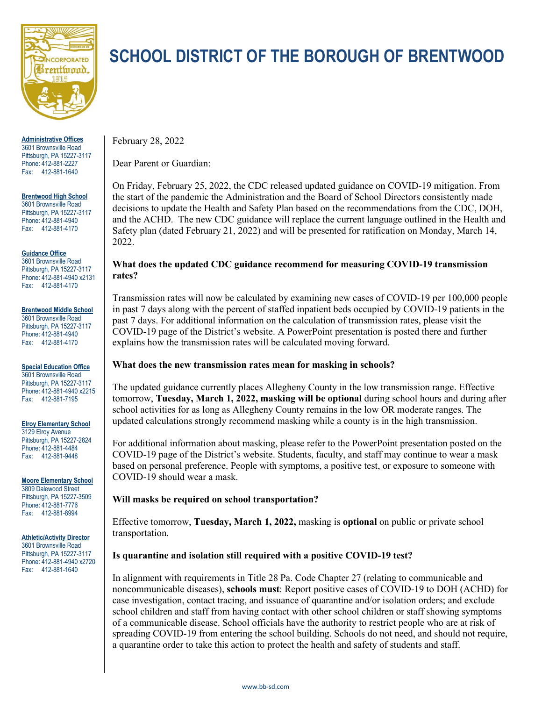

**Administrative Offices** 3601 Brownsville Road Pittsburgh, PA 15227-3117 Phone: 412-881-2227 Fax: 412-881-1640

**Brentwood High School** 3601 Brownsville Road Pittsburgh, PA 15227-3117 Phone: 412-881-4940 Fax: 412-881-4170

#### **Guidance Office**

3601 Brownsville Road Pittsburgh, PA 15227-3117 Phone: 412-881-4940 x2131 Fax: 412-881-4170

#### **Brentwood Middle School**

3601 Brownsville Road Pittsburgh, PA 15227-3117 Phone: 412-881-4940 Fax: 412-881-4170

#### **Special Education Office**

3601 Brownsville Road Pittsburgh, PA 15227-3117 Phone: 412-881-4940 x2215 Fax: 412-881-7195

#### **Elroy Elementary School**

3129 Elroy Avenue Pittsburgh, PA 15227-2824 Phone: 412-881-4484 Fax: 412-881-9448

**Moore Elementary School** 3809 Dalewood Street Pittsburgh, PA 15227-3509 Phone: 412-881-7776 Fax: 412-881-8994

**Athletic/Activity Director**

3601 Brownsville Road Pittsburgh, PA 15227-3117 Phone: 412-881-4940 x2720 Fax: 412-881-1640

# **SCHOOL DISTRICT OF THE BOROUGH OF BRENTWOOD**

February 28, 2022

Dear Parent or Guardian:

On Friday, February 25, 2022, the CDC released updated guidance on COVID-19 mitigation. From the start of the pandemic the Administration and the Board of School Directors consistently made decisions to update the Health and Safety Plan based on the recommendations from the CDC, DOH, and the ACHD. The new CDC guidance will replace the current language outlined in the Health and Safety plan (dated February 21, 2022) and will be presented for ratification on Monday, March 14, 2022.

# **What does the updated CDC guidance recommend for measuring COVID-19 transmission rates?**

Transmission rates will now be calculated by examining new cases of COVID-19 per 100,000 people in past 7 days along with the percent of staffed inpatient beds occupied by COVID-19 patients in the past 7 days. For additional information on the calculation of transmission rates, please visit the COVID-19 page of the District's website. A PowerPoint presentation is posted there and further explains how the transmission rates will be calculated moving forward.

# **What does the new transmission rates mean for masking in schools?**

The updated guidance currently places Allegheny County in the low transmission range. Effective tomorrow, **Tuesday, March 1, 2022, masking will be optional** during school hours and during after school activities for as long as Allegheny County remains in the low OR moderate ranges. The updated calculations strongly recommend masking while a county is in the high transmission.

For additional information about masking, please refer to the PowerPoint presentation posted on the COVID-19 page of the District's website. Students, faculty, and staff may continue to wear a mask based on personal preference. People with symptoms, a positive test, or exposure to someone with COVID-19 should wear a mask.

# **Will masks be required on school transportation?**

Effective tomorrow, **Tuesday, March 1, 2022,** masking is **optional** on public or private school transportation.

# **Is quarantine and isolation still required with a positive COVID-19 test?**

In alignment with requirements in Title 28 Pa. Code Chapter 27 (relating to communicable and noncommunicable diseases), **schools must**: Report positive cases of COVID-19 to DOH (ACHD) for case investigation, contact tracing, and issuance of quarantine and/or isolation orders; and exclude school children and staff from having contact with other school children or staff showing symptoms of a communicable disease. School officials have the authority to restrict people who are at risk of spreading COVID-19 from entering the school building. Schools do not need, and should not require, a quarantine order to take this action to protect the health and safety of students and staff.